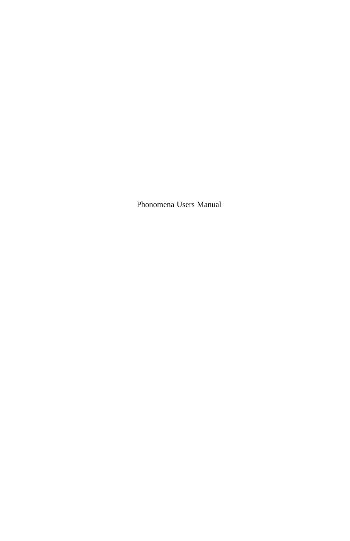Phonomena Users Manual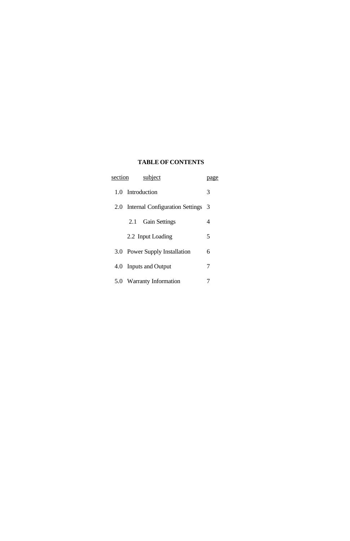# **TABLE OF CONTENTS**

| subject<br>section |                                          |   |  |  |  |
|--------------------|------------------------------------------|---|--|--|--|
|                    | 1.0 Introduction                         |   |  |  |  |
|                    | 2.0 Internal Configuration Settings<br>3 |   |  |  |  |
|                    | 2.1 Gain Settings                        | 4 |  |  |  |
|                    | 2.2 Input Loading                        | 5 |  |  |  |
|                    | 3.0 Power Supply Installation            | 6 |  |  |  |
| 4.0                | <b>Inputs and Output</b>                 | 7 |  |  |  |
|                    | 5.0 Warranty Information                 |   |  |  |  |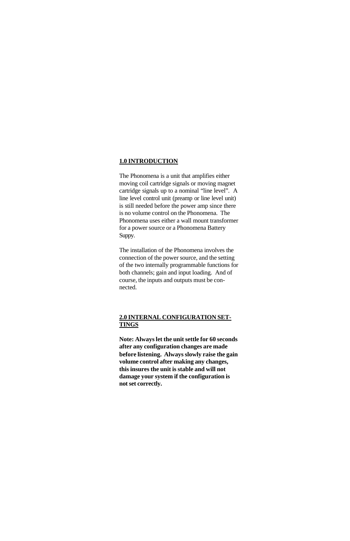#### **1.0 INTRODUCTION**

The Phonomena is a unit that amplifies either moving coil cartridge signals or moving magnet cartridge signals up to a nominal "line level". A line level control unit (preamp or line level unit) is still needed before the power amp since there is no volume control on the Phonomena. The Phonomena uses either a wall mount transformer for a power source or a Phonomena Battery Suppy.

The installation of the Phonomena involves the connection of the power source, and the setting of the two internally programmable functions for both channels; gain and input loading. And of course, the inputs and outputs must be connected.

## **2.0 INTERNAL CONFIGURATION SET-TINGS**

**Note: Always let the unit settle for 60 seconds after any configuration changes are made before listening. Always slowly raise the gain volume control after making any changes, this insures the unit is stable and will not damage your system if the configuration is not set correctly.**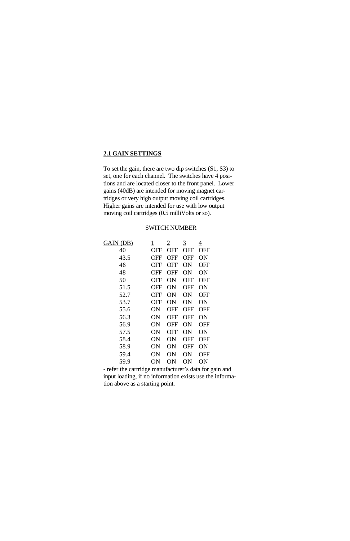## **2.1 GAIN SETTINGS**

To set the gain, there are two dip switches (S1, S3) to set, one for each channel. The switches have 4 positions and are located closer to the front panel. Lower gains (40dB) are intended for moving magnet cartridges or very high output moving coil cartridges. Higher gains are intended for use with low output moving coil cartridges (0.5 milliVolts or so).

### SWITCH NUMBER

| GAIN (DB) | $\overline{1}$ | 2   | <u>3</u>   | 4          |
|-----------|----------------|-----|------------|------------|
| 40        | OFF            | OFF | OFF        | OFF        |
| 43.5      | <b>OFF</b>     | OFF | OFF        | ON         |
| 46        | OFF            | OFF | ON         | OFF        |
| 48        | OFF            | OFF | ON         | ON         |
| 50        | OFF            | ON  | OFF        | OFF        |
| 51.5      | OFF            | ON  | OFF        | ON         |
| 52.7      | OFF            | ON  | ON         | <b>OFF</b> |
| 53.7      | OFF            | ON  | ON         | ON         |
| 55.6      | ON             | OFF | <b>OFF</b> | OFF        |
| 56.3      | ON             | OFF | <b>OFF</b> | ON         |
| 56.9      | ON             | OFF | ON         | <b>OFF</b> |
| 57.5      | ON             | OFF | ON         | ON         |
| 58.4      | ON             | ON  | <b>OFF</b> | OFF        |
| 58.9      | ON             | ON  | OFF        | ON         |
| 59.4      | ON             | ON  | ON         | OFF        |
| 59.9      | ON             | ON  | ON         | ON         |

- refer the cartridge manufacturer's data for gain and input loading, if no information exists use the information above as a starting point.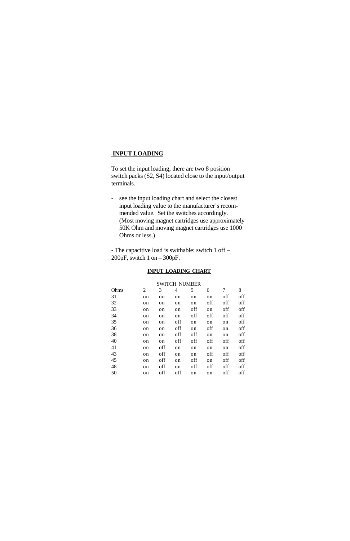## **INPUT LOADING**

To set the input loading, there are two 8 position switch packs (S2, S4) located close to the input/output terminals.

- see the input loading chart and select the closest input loading value to the manufacturer's recommended value. Set the switches accordingly. (Most moving magnet cartridges use approximately 50K Ohm and moving magnet cartridges use 1000 Ohms or less.)

- The capacitive load is swithable: switch 1 off – 200pF, switch 1 on – 300pF.

#### **INPUT LOADING CHART**

| <b>SWITCH NUMBER</b> |                |                |                |                |          |                          |                 |
|----------------------|----------------|----------------|----------------|----------------|----------|--------------------------|-----------------|
| Ohms                 | $\overline{2}$ | $\overline{3}$ | $\overline{4}$ | $\overline{5}$ | <u>6</u> | $\overline{\mathcal{I}}$ | $\underline{8}$ |
| 31                   | on             | on             | on             | on             | on       | off                      | off             |
| 32                   | on             | on             | on             | on             | off      | off                      | off             |
| 33                   | on             | on             | on             | off            | on       | off                      | off             |
| 34                   | on             | on             | on             | off            | off      | off                      | off             |
| 35                   | on             | on             | off            | on             | on       | on                       | off             |
| 36                   | on             | on             | off            | on             | off      | on                       | off             |
| 38                   | on             | on             | off            | off            | on       | on                       | off             |
| 40                   | on             | on             | off            | off            | off      | off                      | off             |
| 41                   | on             | off            | on             | on             | on       | on                       | off             |
| 43                   | on             | off            | on             | on             | off      | off                      | off             |
| 45                   | on             | off            | on             | off            | on       | off                      | off             |
| 48                   | on             | off            | on             | off            | off      | off                      | off             |
| 50                   | on             | off            | off            | on             | on       | off                      | off             |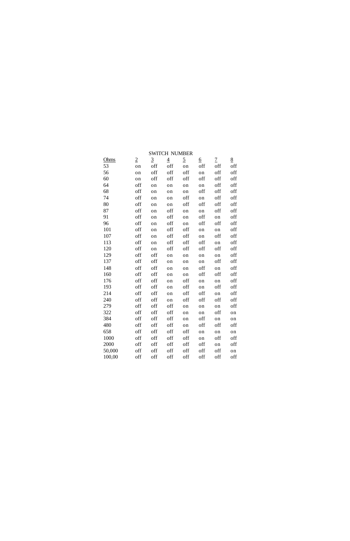| Ohms   | $\overline{2}$ | $\overline{3}$ | $\overline{4}$ | $\overline{2}$ | <u>6</u> | $\overline{1}$ | 8   |
|--------|----------------|----------------|----------------|----------------|----------|----------------|-----|
| 53     | on             | off            | off            | on             | off      | off            | off |
| 56     | on             | off            | off            | off            | on       | off            | off |
| 60     | on             | off            | off            | off            | off      | off            | off |
| 64     | off            | on             | on             | on             | on       | off            | off |
| 68     | off            | on             | on             | on             | off      | off            | off |
| 74     | off            | on             | on             | off            | on       | off            | off |
| 80     | off            | on             | on             | off            | off      | off            | off |
| 87     | off            | on             | off            | on             | on       | off            | off |
| 91     | off            | on             | off            | on             | off      | on             | off |
| 96     | off            | on             | off            | on             | off      | off            | off |
| 101    | off            | on             | off            | off            | on       | on             | off |
| 107    | off            | on             | off            | off            | on       | off            | off |
| 113    | off            | on             | off            | off            | off      | on             | off |
| 120    | off            | on             | off            | off            | off      | off            | off |
| 129    | off            | off            | on             | on             | on       | on             | off |
| 137    | off            | off            | on             | on             | on       | off            | off |
| 148    | off            | off            | on             | on             | off      | on             | off |
| 160    | off            | off            | on             | on             | off      | off            | off |
| 176    | off            | off            | on             | off            | on       | on             | off |
| 193    | off            | off            | on             | off            | on       | off            | off |
| 214    | off            | off            | on             | off            | off      | on             | off |
| 240    | off            | off            | on             | off            | off      | off            | off |
| 279    | off            | off            | off            | on             | on       | on             | off |
| 322    | off            | off            | off            | on             | on       | off            | on  |
| 384    | off            | off            | off            | on             | off      | on             | on  |
| 480    | off            | off            | off            | on             | off      | off            | off |
| 658    | off            | off            | off            | off            | on       | on             | on  |
| 1000   | off            | off            | off            | off            | on       | off            | off |
| 2000   | off            | off            | off            | off            | off      | on             | off |
| 50,000 | off            | off            | off            | off            | off      | off            | on  |
| 100,00 | off            | off            | off            | off            | off      | off            | off |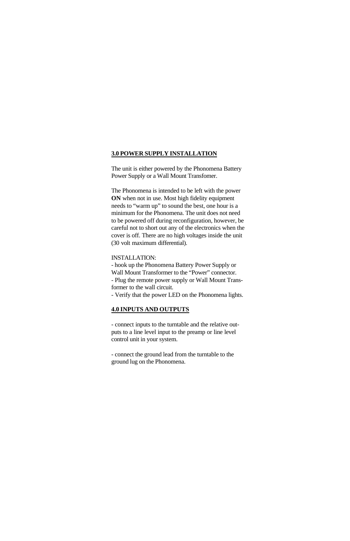## **3.0 POWER SUPPLY INSTALLATION**

The unit is either powered by the Phonomena Battery Power Supply or a Wall Mount Transfomer.

The Phonomena is intended to be left with the power **ON** when not in use. Most high fidelity equipment needs to "warm up" to sound the best, one hour is a minimum for the Phonomena. The unit does not need to be powered off during reconfiguration, however, be careful not to short out any of the electronics when the cover is off. There are no high voltages inside the unit (30 volt maximum differential).

#### INSTALLATION:

- hook up the Phonomena Battery Power Supply or Wall Mount Transformer to the "Power" connector. - Plug the remote power supply or Wall Mount Transformer to the wall circuit.

- Verify that the power LED on the Phonomena lights.

## **4.0 INPUTS AND OUTPUTS**

- connect inputs to the turntable and the relative outputs to a line level input to the preamp or line level control unit in your system.

- connect the ground lead from the turntable to the ground lug on the Phonomena.